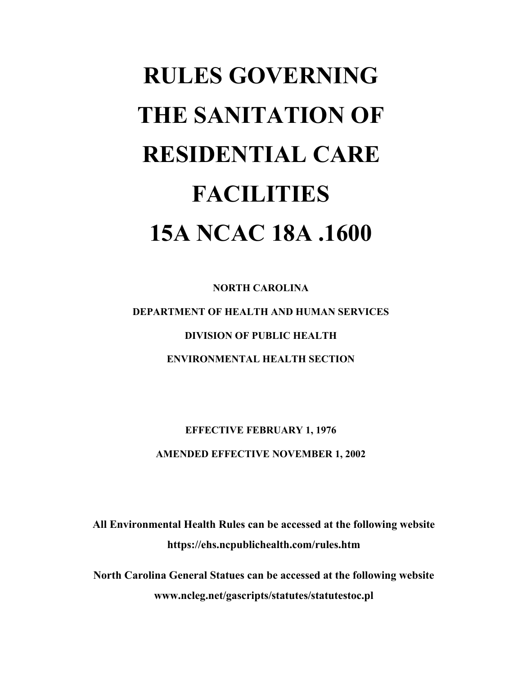# **RULES GOVERNING THE SANITATION OF RESIDENTIAL CARE FACILITIES 15A NCAC 18A .1600**

**NORTH CAROLINA DEPARTMENT OF HEALTH AND HUMAN SERVICES DIVISION OF PUBLIC HEALTH ENVIRONMENTAL HEALTH SECTION** 

**EFFECTIVE FEBRUARY 1, 1976 AMENDED EFFECTIVE NOVEMBER 1, 2002** 

**All Environmental Health Rules can be accessed at the following website https://ehs.ncpublichealth.com/rules.htm** 

**North Carolina General Statues can be accessed at the following website www.ncleg.net/gascripts/statutes/statutestoc.pl**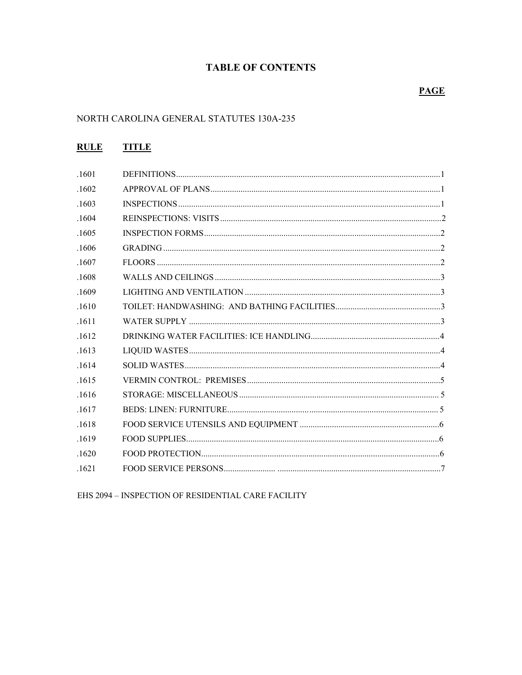# **TABLE OF CONTENTS**

# **PAGE**

# NORTH CAROLINA GENERAL STATUTES 130A-235

# **RULE TITLE**

| .1601 |  |
|-------|--|
| .1602 |  |
| .1603 |  |
| .1604 |  |
| .1605 |  |
| .1606 |  |
| .1607 |  |
| .1608 |  |
| .1609 |  |
| 1610  |  |
| .1611 |  |
| .1612 |  |
| .1613 |  |
| .1614 |  |
| .1615 |  |
| .1616 |  |
| .1617 |  |
| .1618 |  |
| .1619 |  |
| 1620  |  |
| 1621  |  |
|       |  |

EHS 2094 - INSPECTION OF RESIDENTIAL CARE FACILITY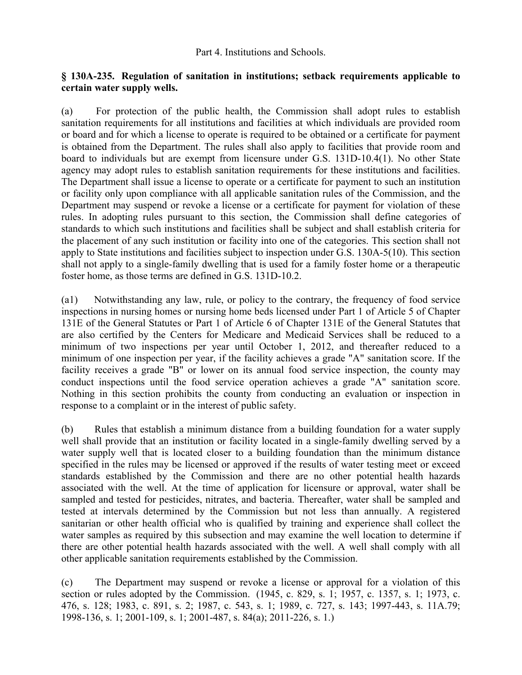Part 4. Institutions and Schools.

# **§ 130A-235. Regulation of sanitation in institutions; setback requirements applicable to certain water supply wells.**

(a) For protection of the public health, the Commission shall adopt rules to establish sanitation requirements for all institutions and facilities at which individuals are provided room or board and for which a license to operate is required to be obtained or a certificate for payment is obtained from the Department. The rules shall also apply to facilities that provide room and board to individuals but are exempt from licensure under G.S. 131D-10.4(1). No other State agency may adopt rules to establish sanitation requirements for these institutions and facilities. The Department shall issue a license to operate or a certificate for payment to such an institution or facility only upon compliance with all applicable sanitation rules of the Commission, and the Department may suspend or revoke a license or a certificate for payment for violation of these rules. In adopting rules pursuant to this section, the Commission shall define categories of standards to which such institutions and facilities shall be subject and shall establish criteria for the placement of any such institution or facility into one of the categories. This section shall not apply to State institutions and facilities subject to inspection under G.S. 130A-5(10). This section shall not apply to a single-family dwelling that is used for a family foster home or a therapeutic foster home, as those terms are defined in G.S. 131D-10.2.

(a1) Notwithstanding any law, rule, or policy to the contrary, the frequency of food service inspections in nursing homes or nursing home beds licensed under Part 1 of Article 5 of Chapter 131E of the General Statutes or Part 1 of Article 6 of Chapter 131E of the General Statutes that are also certified by the Centers for Medicare and Medicaid Services shall be reduced to a minimum of two inspections per year until October 1, 2012, and thereafter reduced to a minimum of one inspection per year, if the facility achieves a grade "A" sanitation score. If the facility receives a grade "B" or lower on its annual food service inspection, the county may conduct inspections until the food service operation achieves a grade "A" sanitation score. Nothing in this section prohibits the county from conducting an evaluation or inspection in response to a complaint or in the interest of public safety.

(b) Rules that establish a minimum distance from a building foundation for a water supply well shall provide that an institution or facility located in a single-family dwelling served by a water supply well that is located closer to a building foundation than the minimum distance specified in the rules may be licensed or approved if the results of water testing meet or exceed standards established by the Commission and there are no other potential health hazards associated with the well. At the time of application for licensure or approval, water shall be sampled and tested for pesticides, nitrates, and bacteria. Thereafter, water shall be sampled and tested at intervals determined by the Commission but not less than annually. A registered sanitarian or other health official who is qualified by training and experience shall collect the water samples as required by this subsection and may examine the well location to determine if there are other potential health hazards associated with the well. A well shall comply with all other applicable sanitation requirements established by the Commission.

(c) The Department may suspend or revoke a license or approval for a violation of this section or rules adopted by the Commission. (1945, c. 829, s. 1; 1957, c. 1357, s. 1; 1973, c. 476, s. 128; 1983, c. 891, s. 2; 1987, c. 543, s. 1; 1989, c. 727, s. 143; 1997-443, s. 11A.79; 1998-136, s. 1; 2001-109, s. 1; 2001-487, s. 84(a); 2011-226, s. 1.)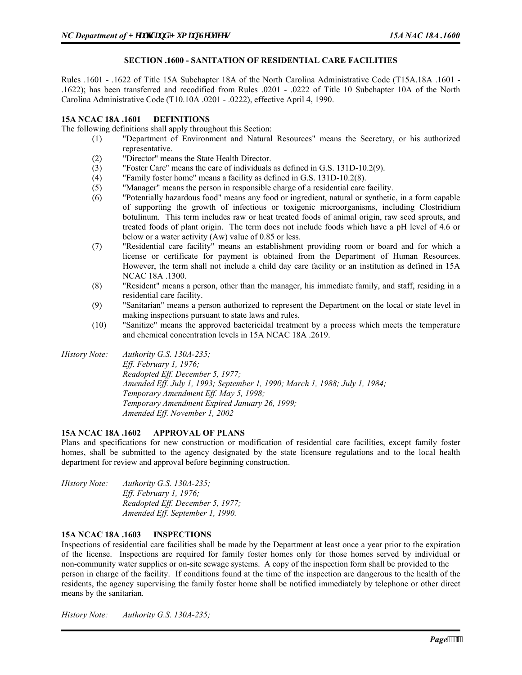# **SECTION .1600 - SANITATION OF RESIDENTIAL CARE FACILITIES**

Rules .1601 - .1622 of Title 15A Subchapter 18A of the North Carolina Administrative Code (T15A.18A .1601 - .1622); has been transferred and recodified from Rules .0201 - .0222 of Title 10 Subchapter 10A of the North Carolina Administrative Code (T10.10A .0201 - .0222), effective April 4, 1990.

#### **15A NCAC 18A .1601 DEFINITIONS**

The following definitions shall apply throughout this Section:

- (1) "Department of Environment and Natural Resources" means the Secretary, or his authorized representative.
- (2) "Director" means the State Health Director.
- (3) "Foster Care" means the care of individuals as defined in G.S. 131D-10.2(9).
- (4) "Family foster home" means a facility as defined in G.S. 131D-10.2(8).
- (5) "Manager" means the person in responsible charge of a residential care facility.
- (6) "Potentially hazardous food" means any food or ingredient, natural or synthetic, in a form capable of supporting the growth of infectious or toxigenic microorganisms, including Clostridium botulinum. This term includes raw or heat treated foods of animal origin, raw seed sprouts, and treated foods of plant origin. The term does not include foods which have a pH level of 4.6 or below or a water activity (Aw) value of 0.85 or less.
- (7) "Residential care facility" means an establishment providing room or board and for which a license or certificate for payment is obtained from the Department of Human Resources. However, the term shall not include a child day care facility or an institution as defined in 15A NCAC 18A .1300.
- (8) "Resident" means a person, other than the manager, his immediate family, and staff, residing in a residential care facility.
- (9) "Sanitarian" means a person authorized to represent the Department on the local or state level in making inspections pursuant to state laws and rules.
- (10) "Sanitize" means the approved bactericidal treatment by a process which meets the temperature and chemical concentration levels in 15A NCAC 18A .2619.
- *History Note: Authority G.S. 130A-235; Eff. February 1, 1976; Readopted Eff. December 5, 1977; Amended Eff. July 1, 1993; September 1, 1990; March 1, 1988; July 1, 1984; Temporary Amendment Eff. May 5, 1998; Temporary Amendment Expired January 26, 1999; Amended Eff. November 1, 2002*

# **15A NCAC 18A .1602 APPROVAL OF PLANS**

Plans and specifications for new construction or modification of residential care facilities, except family foster homes, shall be submitted to the agency designated by the state licensure regulations and to the local health department for review and approval before beginning construction.

| <i>History Note:</i> | Authority G.S. $130A-235$ ;      |
|----------------------|----------------------------------|
|                      | <i>Eff. February 1, 1976;</i>    |
|                      | Readopted Eff. December 5, 1977; |
|                      | Amended Eff. September 1, 1990.  |

# **15A NCAC 18A .1603 INSPECTIONS**

Inspections of residential care facilities shall be made by the Department at least once a year prior to the expiration of the license. Inspections are required for family foster homes only for those homes served by individual or non-community water supplies or on-site sewage systems. A copy of the inspection form shall be provided to the person in charge of the facility. If conditions found at the time of the inspection are dangerous to the health of the residents, the agency supervising the family foster home shall be notified immediately by telephone or other direct means by the sanitarian.

*History Note: Authority G.S. 130A-235;*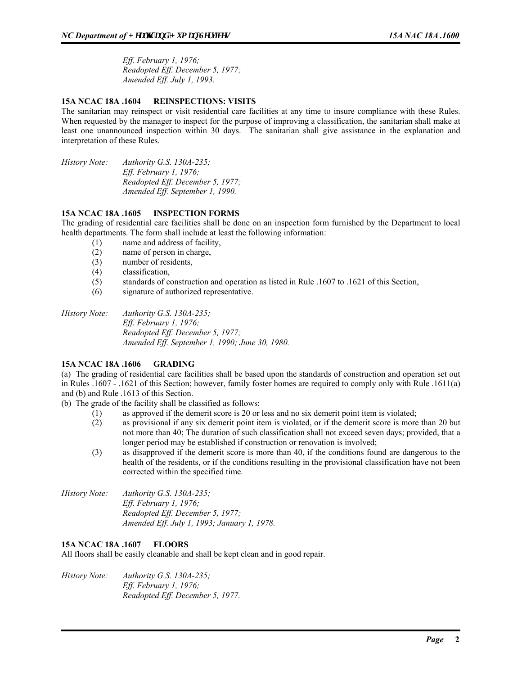*Eff. February 1, 1976; Readopted Eff. December 5, 1977; Amended Eff. July 1, 1993.* 

# **15A NCAC 18A .1604 REINSPECTIONS: VISITS**

The sanitarian may reinspect or visit residential care facilities at any time to insure compliance with these Rules. When requested by the manager to inspect for the purpose of improving a classification, the sanitarian shall make at least one unannounced inspection within 30 days. The sanitarian shall give assistance in the explanation and interpretation of these Rules.

*History Note: Authority G.S. 130A-235; Eff. February 1, 1976; Readopted Eff. December 5, 1977; Amended Eff. September 1, 1990.* 

# **15A NCAC 18A .1605 INSPECTION FORMS**

The grading of residential care facilities shall be done on an inspection form furnished by the Department to local health departments. The form shall include at least the following information:

- (1) name and address of facility,
- (2) name of person in charge,
- (3) number of residents,
- (4) classification,
- (5) standards of construction and operation as listed in Rule .1607 to .1621 of this Section,
- (6) signature of authorized representative.

*History Note: Authority G.S. 130A-235; Eff. February 1, 1976; Readopted Eff. December 5, 1977; Amended Eff. September 1, 1990; June 30, 1980.* 

# **15A NCAC 18A .1606 GRADING**

(a) The grading of residential care facilities shall be based upon the standards of construction and operation set out in Rules .1607 - .1621 of this Section; however, family foster homes are required to comply only with Rule .1611(a) and (b) and Rule .1613 of this Section.

(b) The grade of the facility shall be classified as follows:

- (1) as approved if the demerit score is 20 or less and no six demerit point item is violated;
- (2) as provisional if any six demerit point item is violated, or if the demerit score is more than 20 but not more than 40; The duration of such classification shall not exceed seven days; provided, that a longer period may be established if construction or renovation is involved;
- (3) as disapproved if the demerit score is more than 40, if the conditions found are dangerous to the health of the residents, or if the conditions resulting in the provisional classification have not been corrected within the specified time.
- *History Note: Authority G.S. 130A-235; Eff. February 1, 1976; Readopted Eff. December 5, 1977; Amended Eff. July 1, 1993; January 1, 1978.*

# **15A NCAC 18A .1607 FLOORS**

All floors shall be easily cleanable and shall be kept clean and in good repair.

*History Note: Authority G.S. 130A-235; Eff. February 1, 1976; Readopted Eff. December 5, 1977.*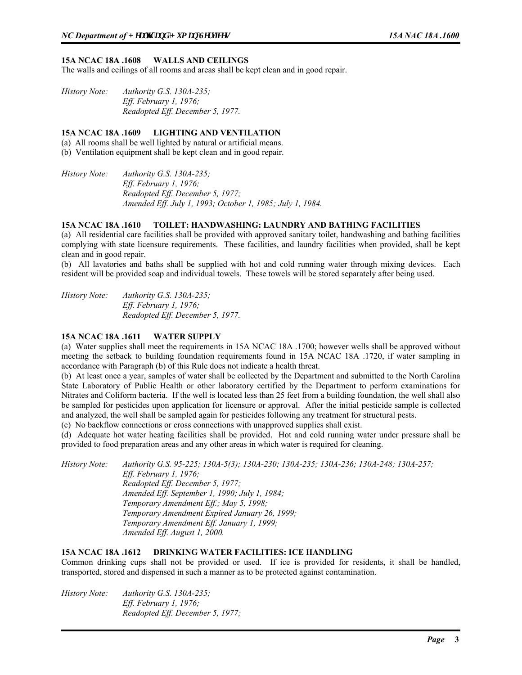#### **15A NCAC 18A .1608 WALLS AND CEILINGS**

The walls and ceilings of all rooms and areas shall be kept clean and in good repair.

*History Note: Authority G.S. 130A-235; Eff. February 1, 1976; Readopted Eff. December 5, 1977.* 

#### **15A NCAC 18A .1609 LIGHTING AND VENTILATION**

(a) All rooms shall be well lighted by natural or artificial means.

(b) Ventilation equipment shall be kept clean and in good repair.

*History Note: Authority G.S. 130A-235; Eff. February 1, 1976; Readopted Eff. December 5, 1977; Amended Eff. July 1, 1993; October 1, 1985; July 1, 1984.* 

# **15A NCAC 18A .1610 TOILET: HANDWASHING: LAUNDRY AND BATHING FACILITIES**

(a) All residential care facilities shall be provided with approved sanitary toilet, handwashing and bathing facilities complying with state licensure requirements. These facilities, and laundry facilities when provided, shall be kept clean and in good repair.

(b) All lavatories and baths shall be supplied with hot and cold running water through mixing devices. Each resident will be provided soap and individual towels. These towels will be stored separately after being used.

*History Note: Authority G.S. 130A-235; Eff. February 1, 1976; Readopted Eff. December 5, 1977.* 

#### **15A NCAC 18A .1611 WATER SUPPLY**

(a) Water supplies shall meet the requirements in 15A NCAC 18A .1700; however wells shall be approved without meeting the setback to building foundation requirements found in 15A NCAC 18A .1720, if water sampling in accordance with Paragraph (b) of this Rule does not indicate a health threat.

(b) At least once a year, samples of water shall be collected by the Department and submitted to the North Carolina State Laboratory of Public Health or other laboratory certified by the Department to perform examinations for Nitrates and Coliform bacteria. If the well is located less than 25 feet from a building foundation, the well shall also be sampled for pesticides upon application for licensure or approval. After the initial pesticide sample is collected and analyzed, the well shall be sampled again for pesticides following any treatment for structural pests.

(c) No backflow connections or cross connections with unapproved supplies shall exist.

(d) Adequate hot water heating facilities shall be provided. Hot and cold running water under pressure shall be provided to food preparation areas and any other areas in which water is required for cleaning.

*History Note: Authority G.S. 95-225; 130A-5(3); 130A-230; 130A-235; 130A-236; 130A-248; 130A-257; Eff. February 1, 1976; Readopted Eff. December 5, 1977; Amended Eff. September 1, 1990; July 1, 1984; Temporary Amendment Eff.; May 5, 1998; Temporary Amendment Expired January 26, 1999; Temporary Amendment Eff. January 1, 1999; Amended Eff. August 1, 2000.* 

# **15A NCAC 18A .1612 DRINKING WATER FACILITIES: ICE HANDLING**

Common drinking cups shall not be provided or used. If ice is provided for residents, it shall be handled, transported, stored and dispensed in such a manner as to be protected against contamination.

*History Note: Authority G.S. 130A-235; Eff. February 1, 1976; Readopted Eff. December 5, 1977;*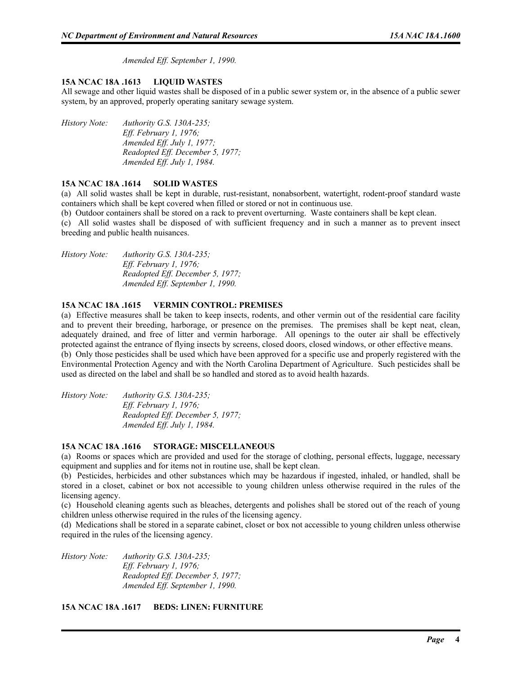*Amended Eff. September 1, 1990.* 

# **15A NCAC 18A .1613 LIQUID WASTES**

All sewage and other liquid wastes shall be disposed of in a public sewer system or, in the absence of a public sewer system, by an approved, properly operating sanitary sewage system.

*History Note: Authority G.S. 130A-235; Eff. February 1, 1976; Amended Eff. July 1, 1977; Readopted Eff. December 5, 1977; Amended Eff. July 1, 1984.* 

# **15A NCAC 18A .1614 SOLID WASTES**

(a) All solid wastes shall be kept in durable, rust-resistant, nonabsorbent, watertight, rodent-proof standard waste containers which shall be kept covered when filled or stored or not in continuous use.

(b) Outdoor containers shall be stored on a rack to prevent overturning. Waste containers shall be kept clean.

(c) All solid wastes shall be disposed of with sufficient frequency and in such a manner as to prevent insect breeding and public health nuisances.

*History Note: Authority G.S. 130A-235; Eff. February 1, 1976; Readopted Eff. December 5, 1977; Amended Eff. September 1, 1990.* 

#### **15A NCAC 18A .1615 VERMIN CONTROL: PREMISES**

(a) Effective measures shall be taken to keep insects, rodents, and other vermin out of the residential care facility and to prevent their breeding, harborage, or presence on the premises. The premises shall be kept neat, clean, adequately drained, and free of litter and vermin harborage. All openings to the outer air shall be effectively protected against the entrance of flying insects by screens, closed doors, closed windows, or other effective means. (b) Only those pesticides shall be used which have been approved for a specific use and properly registered with the Environmental Protection Agency and with the North Carolina Department of Agriculture. Such pesticides shall be used as directed on the label and shall be so handled and stored as to avoid health hazards.

*History Note: Authority G.S. 130A-235; Eff. February 1, 1976; Readopted Eff. December 5, 1977; Amended Eff. July 1, 1984.* 

# **15A NCAC 18A .1616 STORAGE: MISCELLANEOUS**

(a) Rooms or spaces which are provided and used for the storage of clothing, personal effects, luggage, necessary equipment and supplies and for items not in routine use, shall be kept clean.

(b) Pesticides, herbicides and other substances which may be hazardous if ingested, inhaled, or handled, shall be stored in a closet, cabinet or box not accessible to young children unless otherwise required in the rules of the licensing agency.

(c) Household cleaning agents such as bleaches, detergents and polishes shall be stored out of the reach of young children unless otherwise required in the rules of the licensing agency.

(d) Medications shall be stored in a separate cabinet, closet or box not accessible to young children unless otherwise required in the rules of the licensing agency.

*History Note: Authority G.S. 130A-235; Eff. February 1, 1976; Readopted Eff. December 5, 1977; Amended Eff. September 1, 1990.* 

**15A NCAC 18A .1617 BEDS: LINEN: FURNITURE**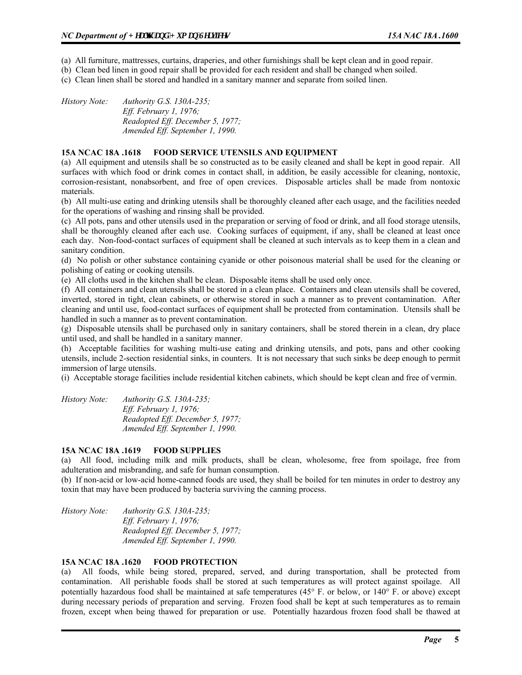(a) All furniture, mattresses, curtains, draperies, and other furnishings shall be kept clean and in good repair.

(b) Clean bed linen in good repair shall be provided for each resident and shall be changed when soiled.

(c) Clean linen shall be stored and handled in a sanitary manner and separate from soiled linen.

*History Note: Authority G.S. 130A-235; Eff. February 1, 1976; Readopted Eff. December 5, 1977; Amended Eff. September 1, 1990.* 

#### **15A NCAC 18A .1618 FOOD SERVICE UTENSILS AND EQUIPMENT**

(a) All equipment and utensils shall be so constructed as to be easily cleaned and shall be kept in good repair. All surfaces with which food or drink comes in contact shall, in addition, be easily accessible for cleaning, nontoxic, corrosion-resistant, nonabsorbent, and free of open crevices. Disposable articles shall be made from nontoxic materials.

(b) All multi-use eating and drinking utensils shall be thoroughly cleaned after each usage, and the facilities needed for the operations of washing and rinsing shall be provided.

(c) All pots, pans and other utensils used in the preparation or serving of food or drink, and all food storage utensils, shall be thoroughly cleaned after each use. Cooking surfaces of equipment, if any, shall be cleaned at least once each day. Non-food-contact surfaces of equipment shall be cleaned at such intervals as to keep them in a clean and sanitary condition.

(d) No polish or other substance containing cyanide or other poisonous material shall be used for the cleaning or polishing of eating or cooking utensils.

(e) All cloths used in the kitchen shall be clean. Disposable items shall be used only once.

(f) All containers and clean utensils shall be stored in a clean place. Containers and clean utensils shall be covered, inverted, stored in tight, clean cabinets, or otherwise stored in such a manner as to prevent contamination. After cleaning and until use, food-contact surfaces of equipment shall be protected from contamination. Utensils shall be handled in such a manner as to prevent contamination.

(g) Disposable utensils shall be purchased only in sanitary containers, shall be stored therein in a clean, dry place until used, and shall be handled in a sanitary manner.

(h) Acceptable facilities for washing multi-use eating and drinking utensils, and pots, pans and other cooking utensils, include 2-section residential sinks, in counters. It is not necessary that such sinks be deep enough to permit immersion of large utensils.

(i) Acceptable storage facilities include residential kitchen cabinets, which should be kept clean and free of vermin.

*History Note: Authority G.S. 130A-235; Eff. February 1, 1976; Readopted Eff. December 5, 1977; Amended Eff. September 1, 1990.* 

# **15A NCAC 18A .1619 FOOD SUPPLIES**

(a) All food, including milk and milk products, shall be clean, wholesome, free from spoilage, free from adulteration and misbranding, and safe for human consumption.

(b) If non-acid or low-acid home-canned foods are used, they shall be boiled for ten minutes in order to destroy any toxin that may have been produced by bacteria surviving the canning process.

*History Note: Authority G.S. 130A-235; Eff. February 1, 1976; Readopted Eff. December 5, 1977; Amended Eff. September 1, 1990.* 

# **15A NCAC 18A .1620 FOOD PROTECTION**

(a) All foods, while being stored, prepared, served, and during transportation, shall be protected from contamination. All perishable foods shall be stored at such temperatures as will protect against spoilage. All potentially hazardous food shall be maintained at safe temperatures (45° F. or below, or 140° F. or above) except during necessary periods of preparation and serving. Frozen food shall be kept at such temperatures as to remain frozen, except when being thawed for preparation or use. Potentially hazardous frozen food shall be thawed at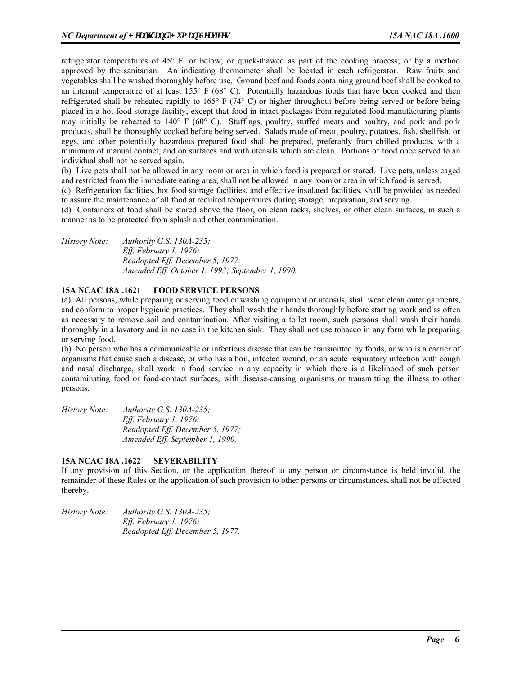refrigerator temperatures of 45° F. or below; or quick-thawed as part of the cooking process; or by a method approved by the sanitarian. An indicating thermometer shall be located in each refrigerator. Raw fruits and vegetables shall be washed thoroughly before use. Ground beef and foods containing ground beef shall be cooked to an internal temperature of at least 155° F (68° C). Potentially hazardous foods that have been cooked and then refrigerated shall be reheated rapidly to 165° F (74° C) or higher throughout before being served or before being placed in a hot food storage facility, except that food in intact packages from regulated food manufacturing plants may initially be reheated to 140° F (60° C). Stuffings, poultry, stuffed meats and poultry, and pork and pork products, shall be thoroughly cooked before being served. Salads made of meat, poultry, potatoes, fish, shellfish, or eggs, and other potentially hazardous prepared food shall be prepared, preferably from chilled products, with a minimum of manual contact, and on surfaces and with utensils which are clean. Portions of food once served to an individual shall not be served again.

(b) Live pets shall not be allowed in any room or area in which food is prepared or stored. Live pets, unless caged and restricted from the immediate eating area, shall not be allowed in any room or area in which food is served.

(c) Refrigeration facilities, hot food storage facilities, and effective insulated facilities, shall be provided as needed to assure the maintenance of all food at required temperatures during storage, preparation, and serving.

(d) Containers of food shall be stored above the floor, on clean racks, shelves, or other clean surfaces, in such a manner as to be protected from splash and other contamination.

*History Note: Authority G.S. 130A-235; Eff. February 1, 1976; Readopted Eff. December 5, 1977; Amended Eff. October 1, 1993; September 1, 1990.* 

# **15A NCAC 18A .1621 FOOD SERVICE PERSONS**

(a) All persons, while preparing or serving food or washing equipment or utensils, shall wear clean outer garments, and conform to proper hygienic practices. They shall wash their hands thoroughly before starting work and as often as necessary to remove soil and contamination. After visiting a toilet room, such persons shall wash their hands thoroughly in a lavatory and in no case in the kitchen sink. They shall not use tobacco in any form while preparing or serving food.

(b) No person who has a communicable or infectious disease that can be transmitted by foods, or who is a carrier of organisms that cause such a disease, or who has a boil, infected wound, or an acute respiratory infection with cough and nasal discharge, shall work in food service in any capacity in which there is a likelihood of such person contaminating food or food-contact surfaces, with disease-causing organisms or transmitting the illness to other persons.

*History Note: Authority G.S. 130A-235; Eff. February 1, 1976; Readopted Eff. December 5, 1977; Amended Eff. September 1, 1990.* 

# **15A NCAC 18A .1622 SEVERABILITY**

If any provision of this Section, or the application thereof to any person or circumstance is held invalid, the remainder of these Rules or the application of such provision to other persons or circumstances, shall not be affected thereby.

*History Note: Authority G.S. 130A-235; Eff. February 1, 1976; Readopted Eff. December 5, 1977.*